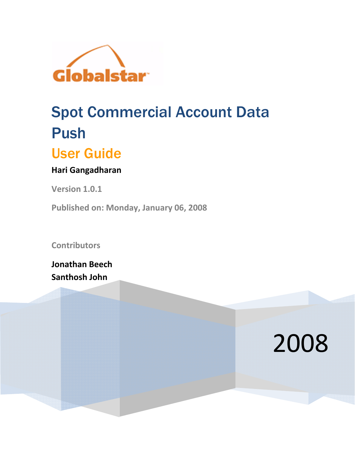

# Spot Commercial Account Data Push

2008

## User Guide

### **Hari Gangadharan**

**Version 1.0.1**

**Published on: Monday, January 06, 2008**

**Contributors**

**Jonathan Beech Santhosh John**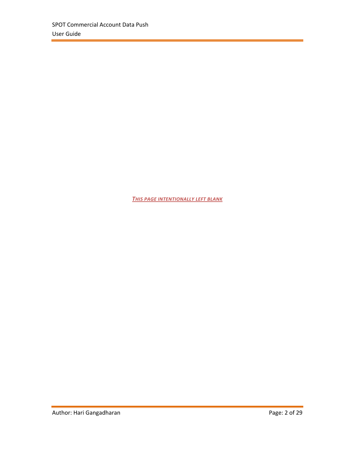*THIS PAGE INTENTIONALLY LEFT BLANK*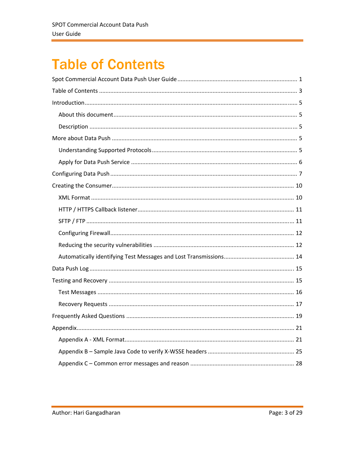## **Table of Contents**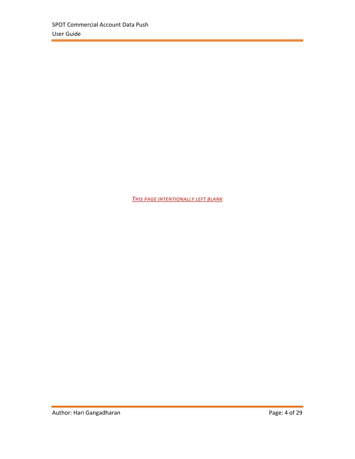*THIS PAGE INTENTIONALLY LEFT BLANK*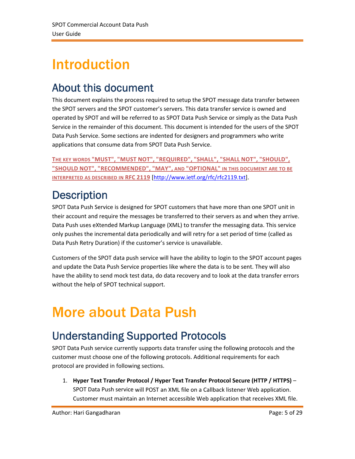## Introduction

### About this document

This document explains the process required to setup the SPOT message data transfer between the SPOT servers and the SPOT customer's servers. This data transfer service is owned and operated by SPOT and will be referred to as SPOT Data Push Service or simply as the Data Push Service in the remainder of this document. This document is intended for the users of the SPOT Data Push Service. Some sections are indented for designers and programmers who write applications that consume data from SPOT Data Push Service.

**THE KEY WORDS "MUST", "MUST NOT", "REQUIRED", "SHALL", "SHALL NOT", "SHOULD", "SHOULD NOT", "RECOMMENDED", "MAY", AND "OPTIONAL" IN THIS DOCUMENT ARE TO BE INTERPRETED AS DESCRIBED IN RFC 2119** [http://www.ietf.org/rfc/rfc2119.txt].

### **Description**

SPOT Data Push Service is designed for SPOT customers that have more than one SPOT unit in their account and require the messages be transferred to their servers as and when they arrive. Data Push uses eXtended Markup Language (XML) to transfer the messaging data. This service only pushes the incremental data periodically and will retry for a set period of time (called as Data Push Retry Duration) if the customer's service is unavailable.

Customers of the SPOT data push service will have the ability to login to the SPOT account pages and update the Data Push Service properties like where the data is to be sent. They will also have the ability to send mock test data, do data recovery and to look at the data transfer errors without the help of SPOT technical support.

## More about Data Push

### Understanding Supported Protocols

SPOT Data Push service currently supports data transfer using the following protocols and the customer must choose one of the following protocols. Additional requirements for each protocol are provided in following sections.

1. **Hyper Text Transfer Protocol / Hyper Text Transfer Protocol Secure (HTTP / HTTPS)** – SPOT Data Push service will POST an XML file on a Callback listener Web application. Customer must maintain an Internet accessible Web application that receives XML file.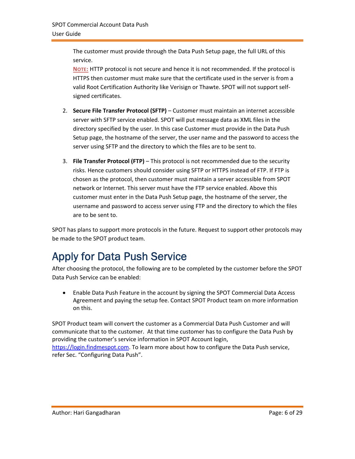The customer must provide through the Data Push Setup page, the full URL of this service.

**NOTE:** HTTP protocol is not secure and hence it is not recommended. If the protocol is HTTPS then customer must make sure that the certificate used in the server is from a valid Root Certification Authority like Verisign or Thawte. SPOT will not support self‐ signed certificates.

- 2. **Secure File Transfer Protocol (SFTP)** Customer must maintain an internet accessible server with SFTP service enabled. SPOT will put message data as XML files in the directory specified by the user. In this case Customer must provide in the Data Push Setup page, the hostname of the server, the user name and the password to access the server using SFTP and the directory to which the files are to be sent to.
- 3. **File Transfer Protocol (FTP)** This protocol is not recommended due to the security risks. Hence customers should consider using SFTP or HTTPS instead of FTP. If FTP is chosen as the protocol, then customer must maintain a server accessible from SPOT network or Internet. This server must have the FTP service enabled. Above this customer must enter in the Data Push Setup page, the hostname of the server, the username and password to access server using FTP and the directory to which the files are to be sent to.

SPOT has plans to support more protocols in the future. Request to support other protocols may be made to the SPOT product team.

## Apply for Data Push Service

After choosing the protocol, the following are to be completed by the customer before the SPOT Data Push Service can be enabled:

• Enable Data Push Feature in the account by signing the SPOT Commercial Data Access Agreement and paying the setup fee. Contact SPOT Product team on more information on this.

SPOT Product team will convert the customer as a Commercial Data Push Customer and will communicate that to the customer. At that time customer has to configure the Data Push by providing the customer's service information in SPOT Account login, https://login.findmespot.com. To learn more about how to configure the Data Push service, refer Sec. "Configuring Data Push".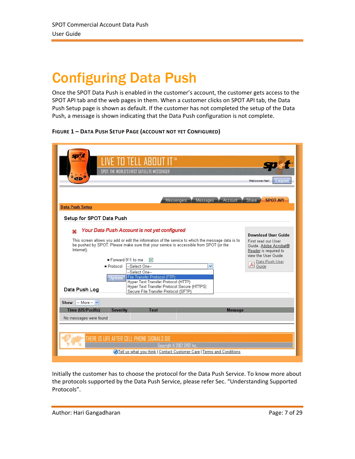## Configuring Data Push

Once the SPOT Data Push is enabled in the customer's account, the customer gets access to the SPOT API tab and the web pages in them. When a customer clicks on SPOT API tab, the Data Push Setup page is shown as default. If the customer has not completed the setup of the Data Push, a message is shown indicating that the Data Push configuration is not complete.

**FIGURE 1 – DATA PUSH SETUP PAGE (ACCOUNT NOT YET CONFIGURED)**

| °dp°                                                        | LIVE`TO TELL ABOUT IT™<br>SPOT. THE WORLD'S FIRST SATELLITE MESSENGER                                                                                                                                                                                                                                                                                                                                                                                                                                   | Welcome-Hari<br>Logout                                                                                                                                                     |
|-------------------------------------------------------------|---------------------------------------------------------------------------------------------------------------------------------------------------------------------------------------------------------------------------------------------------------------------------------------------------------------------------------------------------------------------------------------------------------------------------------------------------------------------------------------------------------|----------------------------------------------------------------------------------------------------------------------------------------------------------------------------|
| <b>Data Push Setup</b>                                      | <b>Messages</b><br>Account<br><b>Messengers</b>                                                                                                                                                                                                                                                                                                                                                                                                                                                         | Share<br><b>SPOT API</b>                                                                                                                                                   |
| Setup for SPOT Data Push<br>Internet).<br>Data Push Log     | Your Data Push Account is not yet configured<br>This screen allows you add or edit the information of the service to which the message data is to<br>be pushed by SPOT. Please make sure that your service is accessible from SPOT (or the<br>Forward 911 to me<br>▽<br>■ Protocol --Select One--<br>$\ddotmark$<br>--Select One--<br>Update File Transfer Protocol (FTP)<br>Hyper Text Transfer Protocol (HTTP)<br>Hyper Text Transfer Protocol Secure (HTTPS)<br>Secure File Transfer Protocol (SFTP) | <b>Download User Guide</b><br>First read our User<br>Guide. Adobe Acrobat®<br>Reader is required to<br>view the User Guide<br>Data Push User<br>$\frac{1}{\sqrt{2}}$ Guide |
| $-More - V$<br>Show<br>Time (US/Pacific)<br><b>Severity</b> | Text<br><b>Message</b>                                                                                                                                                                                                                                                                                                                                                                                                                                                                                  |                                                                                                                                                                            |
| No messages were found                                      | THERE IS LIFE AFTER CELL PHONE SIGNALS DIE<br>Copyright @ 2007 SPOT Inc.<br>Tell us what you think   Contact Customer Care   Terms and Conditions                                                                                                                                                                                                                                                                                                                                                       |                                                                                                                                                                            |

Initially the customer has to choose the protocol for the Data Push Service. To know more about the protocols supported by the Data Push Service, please refer Sec. "Understanding Supported Protocols".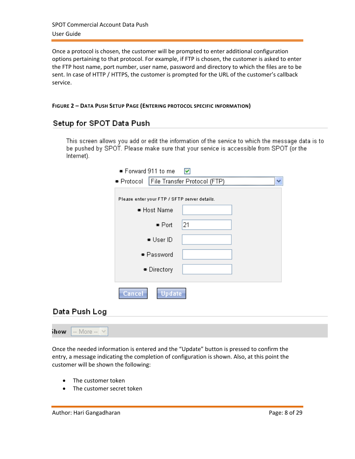Once a protocol is chosen, the customer will be prompted to enter additional configuration options pertaining to that protocol. For example, if FTP is chosen, the customer is asked to enter the FTP host name, port number, user name, password and directory to which the files are to be sent. In case of HTTP / HTTPS, the customer is prompted for the URL of the customer's callback service.

#### **FIGURE 2 – DATA PUSH SETUP PAGE (ENTERING PROTOCOL SPECIFIC INFORMATION)**

#### Setup for SPOT Data Push

This screen allows you add or edit the information of the service to which the message data is to be pushed by SPOT. Please make sure that your service is accessible from SPOT (or the Internet).

|               | ■ Forward 911 to me                                                                        | M                            |   |
|---------------|--------------------------------------------------------------------------------------------|------------------------------|---|
|               | $\bullet$ Protocol                                                                         | File Transfer Protocol (FTP) | ▿ |
|               | Please enter your FTP / SFTP server details.<br>■ Host Name<br>$\bullet$ Port<br>■ User ID | 21                           |   |
|               | ■ Password<br>■ Directory                                                                  |                              |   |
| Data Push Log | <b>Cancel</b><br>Update                                                                    |                              |   |

Once the needed information is entered and the "Update" button is pressed to confirm the entry, a message indicating the completion of configuration is shown. Also, at this point the customer will be shown the following:

- The customer token
- The customer secret token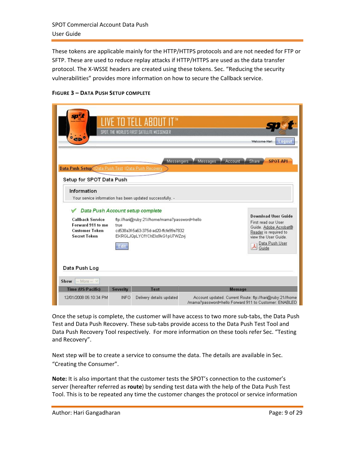These tokens are applicable mainly for the HTTP/HTTPS protocols and are not needed for FTP or SFTP. These are used to reduce replay attacks if HTTP/HTTPS are used as the data transfer protocol. The X‐WSSE headers are created using these tokens. Sec. "Reducing the security vulnerabilities" provides more information on how to secure the Callback service.

| °dp°<br>Data Push Setup Data Push Test   Data Push Recovery                                  |                 | TELL ABOUT IT™<br>SPOT. THE WORLD'S FIRST SATELLITE MESSENGER<br><b>Messengers</b>                                     | Welcome-Hari<br>Account<br>Share<br>Messages                                                                      | Logout<br><b>SPOT API</b>                           |
|----------------------------------------------------------------------------------------------|-----------------|------------------------------------------------------------------------------------------------------------------------|-------------------------------------------------------------------------------------------------------------------|-----------------------------------------------------|
| Setup for SPOT Data Push                                                                     |                 |                                                                                                                        |                                                                                                                   |                                                     |
| Information                                                                                  |                 | Your service information has been updated successfully. -                                                              |                                                                                                                   |                                                     |
|                                                                                              |                 | Data Push Account setup complete                                                                                       |                                                                                                                   |                                                     |
| <b>Callback Service</b><br>Forward 911 to me<br><b>Customer Token</b><br><b>Secret Token</b> | true            | ftp://hari@ruby:21//home/mama?password=hello<br>cd538a3f-5a63-375d-ad20-ffcfe99e7832<br>EKRGLJQpLYCfYChElo9kG1pU7WZzvj | First read our User<br>Reader is required to<br>view the User Guide.                                              | <b>Download User Guide</b><br>Guide. Adobe Acrobat® |
|                                                                                              | Edit            |                                                                                                                        | $\frac{\lambda}{\text{Guide}}$                                                                                    | Data Push User                                      |
| Data Push Log                                                                                |                 |                                                                                                                        |                                                                                                                   |                                                     |
| $-$ More $ \vee$<br>Show                                                                     |                 |                                                                                                                        |                                                                                                                   |                                                     |
| Time (US/Pacific)                                                                            | <b>Severity</b> | Text                                                                                                                   | <b>Message</b>                                                                                                    |                                                     |
| 12/01/2008 05:10:34 PM                                                                       | <b>INFO</b>     | Delivery details updated                                                                                               | Account updated. Current Route: ftp://hari@ruby:21//home<br>/mama?password=hello Forward 911 to Customer: ENABLED |                                                     |

#### **FIGURE 3 – DATA PUSH SETUP COMPLETE**

Once the setup is complete, the customer will have access to two more sub-tabs, the Data Push Test and Data Push Recovery. These sub‐tabs provide access to the Data Push Test Tool and Data Push Recovery Tool respectively. For more information on these tools refer Sec. "Testing and Recovery".

Next step will be to create a service to consume the data. The details are available in Sec. "Creating the Consumer".

**Note:** It is also important that the customer tests the SPOT's connection to the customer's server (hereafter referred as **route**) by sending test data with the help of the Data Push Test Tool. This is to be repeated any time the customer changes the protocol or service information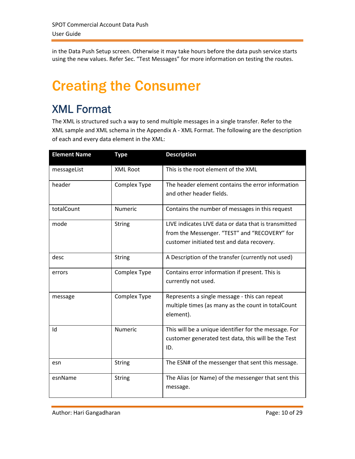in the Data Push Setup screen. Otherwise it may take hours before the data push service starts using the new values. Refer Sec. "Test Messages" for more information on testing the routes.

## Creating the Consumer

### XML Format

The XML is structured such a way to send multiple messages in a single transfer. Refer to the XML sample and XML schema in the Appendix A ‐ XML Format. The following are the description of each and every data element in the XML:

| <b>Element Name</b> | <b>Type</b>     | <b>Description</b>                                                                                                                                  |
|---------------------|-----------------|-----------------------------------------------------------------------------------------------------------------------------------------------------|
| messageList         | <b>XML Root</b> | This is the root element of the XML                                                                                                                 |
| header              | Complex Type    | The header element contains the error information<br>and other header fields.                                                                       |
| totalCount          | Numeric         | Contains the number of messages in this request                                                                                                     |
| mode                | <b>String</b>   | LIVE indicates LIVE data or data that is transmitted<br>from the Messenger. "TEST" and "RECOVERY" for<br>customer initiated test and data recovery. |
| desc                | <b>String</b>   | A Description of the transfer (currently not used)                                                                                                  |
| errors              | Complex Type    | Contains error information if present. This is<br>currently not used.                                                                               |
| message             | Complex Type    | Represents a single message - this can repeat<br>multiple times (as many as the count in totalCount<br>element).                                    |
| Id                  | <b>Numeric</b>  | This will be a unique identifier for the message. For<br>customer generated test data, this will be the Test<br>ID.                                 |
| esn                 | <b>String</b>   | The ESN# of the messenger that sent this message.                                                                                                   |
| esnName             | <b>String</b>   | The Alias (or Name) of the messenger that sent this<br>message.                                                                                     |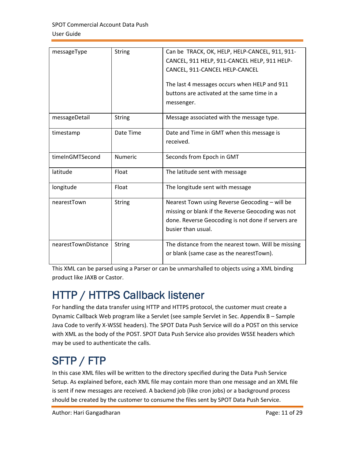| messageType         | <b>String</b>  | Can be TRACK, OK, HELP, HELP-CANCEL, 911, 911-<br>CANCEL, 911 HELP, 911-CANCEL HELP, 911 HELP-<br>CANCEL, 911-CANCEL HELP-CANCEL                                                |
|---------------------|----------------|---------------------------------------------------------------------------------------------------------------------------------------------------------------------------------|
|                     |                | The last 4 messages occurs when HELP and 911<br>buttons are activated at the same time in a<br>messenger.                                                                       |
| messageDetail       | <b>String</b>  | Message associated with the message type.                                                                                                                                       |
| timestamp           | Date Time      | Date and Time in GMT when this message is<br>received.                                                                                                                          |
| timeInGMTSecond     | <b>Numeric</b> | Seconds from Epoch in GMT                                                                                                                                                       |
| latitude            | Float          | The latitude sent with message                                                                                                                                                  |
| longitude           | Float          | The longitude sent with message                                                                                                                                                 |
| nearestTown         | <b>String</b>  | Nearest Town using Reverse Geocoding - will be<br>missing or blank if the Reverse Geocoding was not<br>done. Reverse Geocoding is not done if servers are<br>busier than usual. |
| nearestTownDistance | <b>String</b>  | The distance from the nearest town. Will be missing<br>or blank (same case as the nearest Town).                                                                                |

This XML can be parsed using a Parser or can be unmarshalled to objects using a XML binding product like JAXB or Castor.

### HTTP / HTTPS Callback listener

For handling the data transfer using HTTP and HTTPS protocol, the customer must create a Dynamic Callback Web program like a Servlet (see sample Servlet in Sec. Appendix B – Sample Java Code to verify X‐WSSE headers). The SPOT Data Push Service will do a POST on this service with XML as the body of the POST. SPOT Data Push Service also provides WSSE headers which may be used to authenticate the calls.

## SFTP / FTP

In this case XML files will be written to the directory specified during the Data Push Service Setup. As explained before, each XML file may contain more than one message and an XML file is sent if new messages are received. A backend job (like cron jobs) or a background process should be created by the customer to consume the files sent by SPOT Data Push Service.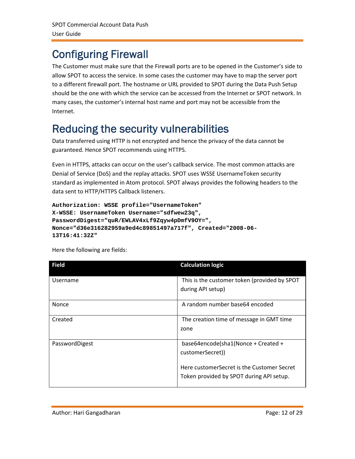### Configuring Firewall

The Customer must make sure that the Firewall ports are to be opened in the Customer's side to allow SPOT to access the service. In some cases the customer may have to map the server port to a different firewall port. The hostname or URL provided to SPOT during the Data Push Setup should be the one with which the service can be accessed from the Internet or SPOT network. In many cases, the customer's internal host name and port may not be accessible from the Internet.

### Reducing the security vulnerabilities

Data transferred using HTTP is not encrypted and hence the privacy of the data cannot be guaranteed. Hence SPOT recommends using HTTPS.

Even in HTTPS, attacks can occur on the user's callback service. The most common attacks are Denial of Service (DoS) and the replay attacks. SPOT uses WSSE UsernameToken security standard as implemented in Atom protocol. SPOT always provides the following headers to the data sent to HTTP/HTTPS Callback listeners.

```
Authorization: WSSE profile="UsernameToken" 
X-WSSE: UsernameToken Username="sdfwew23q", 
PasswordDigest="quR/EWLAV4xLf9Zqyw4pDmfV9OY=", 
Nonce="d36e316282959a9ed4c89851497a717f", Created="2008-06-
13T16:41:32Z"
```

| <b>Field</b>   | <b>Calculation logic</b>                                                                                                                          |
|----------------|---------------------------------------------------------------------------------------------------------------------------------------------------|
| Username       | This is the customer token (provided by SPOT<br>during API setup)                                                                                 |
| <b>Nonce</b>   | A random number base64 encoded                                                                                                                    |
| Created        | The creation time of message in GMT time<br>zone                                                                                                  |
| PasswordDigest | base64encode(sha1(Nonce + Created +<br>customerSecret))<br>Here customerSecret is the Customer Secret<br>Token provided by SPOT during API setup. |

Here the following are fields: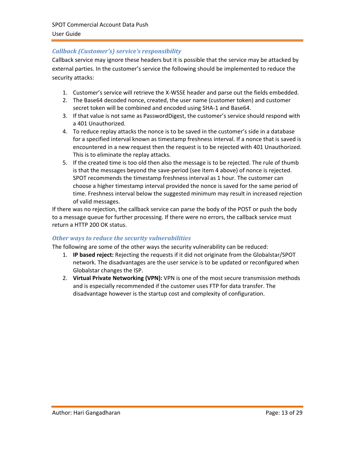#### *Callback (Customer's) service's responsibility*

Callback service may ignore these headers but it is possible that the service may be attacked by external parties. In the customer's service the following should be implemented to reduce the security attacks:

- 1. Customer's service will retrieve the X-WSSE header and parse out the fields embedded.
- 2. The Base64 decoded nonce, created, the user name (customer token) and customer secret token will be combined and encoded using SHA‐1 and Base64.
- 3. If that value is not same as PasswordDigest, the customer's service should respond with a 401 Unauthorized.
- 4. To reduce replay attacks the nonce is to be saved in the customer's side in a database for a specified interval known as timestamp freshness interval. If a nonce that is saved is encountered in a new request then the request is to be rejected with 401 Unauthorized. This is to eliminate the replay attacks.
- 5. If the created time is too old then also the message is to be rejected. The rule of thumb is that the messages beyond the save‐period (see item 4 above) of nonce is rejected. SPOT recommends the timestamp freshness interval as 1 hour. The customer can choose a higher timestamp interval provided the nonce is saved for the same period of time. Freshness interval below the suggested minimum may result in increased rejection of valid messages.

If there was no rejection, the callback service can parse the body of the POST or push the body to a message queue for further processing. If there were no errors, the callback service must return a HTTP 200 OK status.

#### *Other ways to reduce the security vulnerabilities*

The following are some of the other ways the security vulnerability can be reduced:

- 1. **IP based reject:** Rejecting the requests if it did not originate from the Globalstar/SPOT network. The disadvantages are the user service is to be updated or reconfigured when Globalstar changes the ISP.
- 2. **Virtual Private Networking (VPN):** VPN is one of the most secure transmission methods and is especially recommended if the customer uses FTP for data transfer. The disadvantage however is the startup cost and complexity of configuration.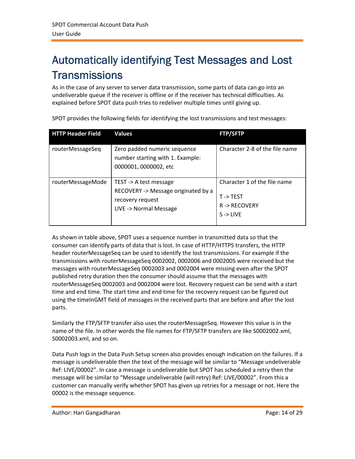## Automatically identifying Test Messages and Lost **Transmissions**

As in the case of any server to server data transmission, some parts of data can go into an undeliverable queue if the receiver is offline or if the receiver has technical difficulties. As explained before SPOT data push tries to redeliver multiple times until giving up.

| <b>HTTP Header Field</b> | <b>Values</b>                                                                                               | <b>FTP/SFTP</b>                                                                              |
|--------------------------|-------------------------------------------------------------------------------------------------------------|----------------------------------------------------------------------------------------------|
| routerMessageSeq         | Zero padded numeric sequence<br>number starting with 1. Example:<br>0000001, 0000002, etc                   | Character 2-8 of the file name                                                               |
| routerMessageMode        | TEST -> A test message<br>RECOVERY -> Message originated by a<br>recovery request<br>LIVE -> Normal Message | Character 1 of the file name<br>$T \rightarrow TEST$<br>R-> RECOVERY<br>$S \rightarrow LIVF$ |

SPOT provides the following fields for identifying the lost transmissions and test messages:

As shown in table above, SPOT uses a sequence number in transmitted data so that the consumer can identify parts of data that is lost. In case of HTTP/HTTPS transfers, the HTTP header routerMessageSeq can be used to identify the lost transmissions. For example if the transmissions with routerMessageSeq 0002002, 0002006 and 0002005 were received but the messages with routerMessageSeq 0002003 and 0002004 were missing even after the SPOT published retry duration then the consumer should assume that the messages with routerMessageSeq 0002003 and 0002004 were lost. Recovery request can be send with a start time and end time. The start time and end time for the recovery request can be figured out using the timeInGMT field of messages in the received parts that are before and after the lost parts.

Similarly the FTP/SFTP transfer also uses the routerMessageSeq. However this value is in the name of the file. In other words the file names for FTP/SFTP transfers are like S0002002.xml, S0002003.xml, and so on.

Data Push logs in the Data Push Setup screen also provides enough indication on the failures. If a message is undeliverable then the text of the message will be similar to "Message undeliverable Ref: LIVE/00002". In case a message is undeliverable but SPOT has scheduled a retry then the message will be similar to "Message undeliverable (will retry) Ref: LIVE/00002". From this a customer can manually verify whether SPOT has given up retries for a message or not. Here the 00002 is the message sequence.

Author: Hari Gangadharan Page: 14 of 29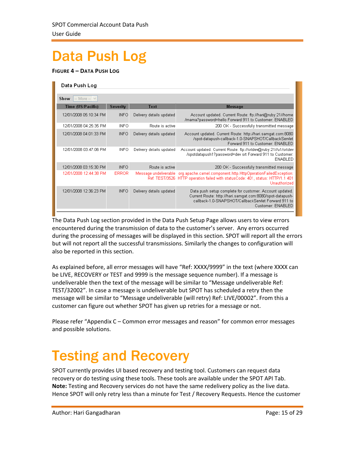## Data Push Log

#### **FIGURE 4 – DATA PUSH LOG**

| Data Push Log            |              |                          |                                                                                                                                                                                                   |
|--------------------------|--------------|--------------------------|---------------------------------------------------------------------------------------------------------------------------------------------------------------------------------------------------|
| $-$ More $ \vee$<br>Show |              |                          |                                                                                                                                                                                                   |
| Time (US/Pacific)        | Severity     | Text                     | <b>Message</b>                                                                                                                                                                                    |
| 12/01/2008 05:10:34 PM   | INFO.        | Delivery details updated | Account updated. Current Route: ftp://hari@ruby:21//home<br>/mama?password=hello Forward 911 to Customer: ENABLED                                                                                 |
| 12/01/2008 04:25:35 PM   | INFO.        | Route is active          | 200 OK - Successfully transmitted message                                                                                                                                                         |
| 12/01/2008 04:01:33 PM   | INFO.        | Delivery details updated | Account updated. Current Route: http://hari.samgat.com:8080<br>/spot-datapush-callback-1.0-SNAPSHOT/CallbackServlet<br>Forward 911 to Customer: ENABLED                                           |
| 12/01/2008 03:47:06 PM   | INFO.        | Delivery details updated | Account updated. Current Route: ftp://srtdev@ruby:21//u1/srtdev<br>/spotdatapush1?password=dev srt Forward 911 to Customer:<br><b>ENABLED</b>                                                     |
| 12/01/2008 03:15:30 PM   | <b>INFO</b>  | Route is active          | 200 OK - Successfully transmitted message                                                                                                                                                         |
| 12/01/2008 12:44:38 PM   | <b>ERROR</b> | Message undeliverable    | org.apache.camel.component.http.HttpOperationFailedException:<br>Ref: TEST/3526 HTTP operation failed with statusCode: 401, status: HTTP/1.1 401<br>Unauthorized                                  |
| 12/01/2008 12:36:23 PM   | INFO.        | Delivery details updated | Data push setup complete for customer. Account updated.<br>Current Route: http://hari.samgat.com:8080/spot-datapush-<br>callback-1.0-SNAPSHOT/CallbackServlet Forward 911 to<br>Customer: ENABLED |

The Data Push Log section provided in the Data Push Setup Page allows users to view errors encountered during the transmission of data to the customer's server. Any errors occurred during the processing of messages will be displayed in this section. SPOT will report all the errors but will not report all the successful transmissions. Similarly the changes to configuration will also be reported in this section.

As explained before, all error messages will have "Ref: XXXX/9999" in the text (where XXXX can be LIVE, RECOVERY or TEST and 9999 is the message sequence number). If a message is undeliverable then the text of the message will be similar to "Message undeliverable Ref: TEST/32002". In case a message is undeliverable but SPOT has scheduled a retry then the message will be similar to "Message undeliverable (will retry) Ref: LIVE/00002". From this a customer can figure out whether SPOT has given up retries for a message or not.

Please refer "Appendix C – Common error messages and reason" for common error messages and possible solutions.

## Testing and Recovery

SPOT currently provides UI based recovery and testing tool. Customers can request data recovery or do testing using these tools. These tools are available under the SPOT API Tab. **Note:** Testing and Recovery services do not have the same redelivery policy as the live data. Hence SPOT will only retry less than a minute for Test / Recovery Requests. Hence the customer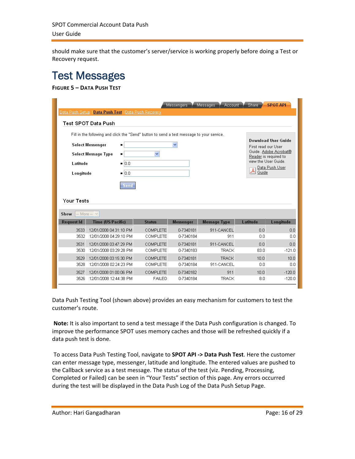should make sure that the customer's server/service is working properly before doing a Test or Recovery request.

### Test Messages

**FIGURE 5 – DATA PUSH TEST**

|                          | Data Push Setup   Data Push Test   Data Push Recovery                                                                                                                                                                                                                                                                                         |                             | Messengers             | Account<br><b>Messages</b> | Share       | <b>SPOT API</b> |
|--------------------------|-----------------------------------------------------------------------------------------------------------------------------------------------------------------------------------------------------------------------------------------------------------------------------------------------------------------------------------------------|-----------------------------|------------------------|----------------------------|-------------|-----------------|
|                          | <b>Test SPOT Data Push</b>                                                                                                                                                                                                                                                                                                                    |                             |                        |                            |             |                 |
|                          | Fill in the following and click the "Send" button to send a test message to your service.                                                                                                                                                                                                                                                     |                             |                        |                            |             |                 |
| $-$ More $ \vee$<br>Show | Download User Guide<br>$\overline{\mathbf{v}}$<br>Select Messenger<br>$\bullet$<br>First read our User<br>Guide. Adobe Acrobat®<br><b>Select Message Type</b><br>v<br>諅<br>Reader is required to<br>view the User Guide.<br>$\bullet 0.0$<br>Latitude<br>Data Push User<br>$\Delta$ Guide<br>$\bullet$ 0.0<br>Longitude<br>Send<br>Your Tests |                             |                        |                            |             |                 |
| Request Id               | Time (US/Pacific)                                                                                                                                                                                                                                                                                                                             | <b>Status</b>               | <b>Messenger</b>       | <b>Message Type</b>        | Latitude    | Longitude       |
| 3533                     | 12/01/2008 04:31:10 PM                                                                                                                                                                                                                                                                                                                        | COMPLETE                    | 0-7340181              | 911-CANCEL                 | 0.0         | 0.0             |
| 3532                     | 12/01/2008 04:29:10 PM                                                                                                                                                                                                                                                                                                                        | <b>COMPLETE</b>             | 0-7340184              | 911                        | 0.0         | 0.0             |
| 3531<br>3530             | 12/01/2008 03:47:29 PM<br>12/01/2008 03:29:28 PM                                                                                                                                                                                                                                                                                              | COMPLETE<br><b>COMPLETE</b> | 0-7340181<br>0-7340183 | 911-CANCEL<br><b>TRACK</b> | 0.0<br>83.0 | 0.0<br>$-121.0$ |
|                          |                                                                                                                                                                                                                                                                                                                                               |                             |                        |                            |             |                 |
| 3529<br>3528             | 12/01/2008 03:15:30 PM<br>12/01/2008 02:24:23 PM                                                                                                                                                                                                                                                                                              | COMPLETE<br>COMPLETE        | 0-7340181<br>0-7340184 | <b>TRACK</b><br>911-CANCEL | 10.0<br>0.0 | 10.0<br>0.0     |
| 3527                     | 12/01/2008 01:00:06 PM                                                                                                                                                                                                                                                                                                                        | COMPLETE                    | 0-7340182              | 911                        | 10.0        | $-120.0$        |
| 3526                     | 12/01/2008 12:44:38 PM                                                                                                                                                                                                                                                                                                                        | <b>FAILED</b>               | 0-7340184              | <b>TRACK</b>               | 8.0         | $-120.0$        |

Data Push Testing Tool (shown above) provides an easy mechanism for customers to test the customer's route.

**Note:** It is also important to send a test message if the Data Push configuration is changed. To improve the performance SPOT uses memory caches and those will be refreshed quickly if a data push test is done.

To access Data Push Testing Tool, navigate to **SPOT API ‐> Data Push Test**. Here the customer can enter message type, messenger, latitude and longitude. The entered values are pushed to the Callback service as a test message. The status of the test (viz. Pending, Processing, Completed or Failed) can be seen in "Your Tests" section of this page. Any errors occurred during the test will be displayed in the Data Push Log of the Data Push Setup Page.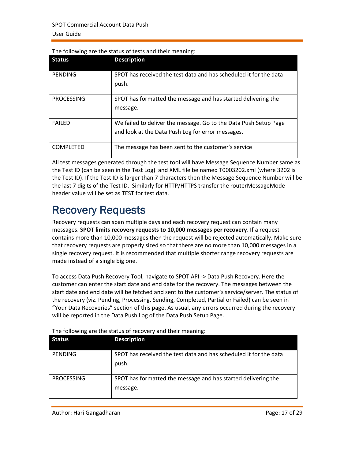| <b>Status</b>     | <b>Description</b>                                                                                                    |
|-------------------|-----------------------------------------------------------------------------------------------------------------------|
| PENDING           | SPOT has received the test data and has scheduled it for the data<br>push.                                            |
| <b>PROCESSING</b> | SPOT has formatted the message and has started delivering the<br>message.                                             |
| <b>FAILED</b>     | We failed to deliver the message. Go to the Data Push Setup Page<br>and look at the Data Push Log for error messages. |
| <b>COMPLETED</b>  | The message has been sent to the customer's service                                                                   |

The following are the status of tests and their meaning:

All test messages generated through the test tool will have Message Sequence Number same as the Test ID (can be seen in the Test Log) and XML file be named T0003202.xml (where 3202 is the Test ID). If the Test ID is larger than 7 characters then the Message Sequence Number will be the last 7 digits of the Test ID. Similarly for HTTP/HTTPS transfer the routerMessageMode header value will be set as TEST for test data.

### Recovery Requests

Recovery requests can span multiple days and each recovery request can contain many messages. **SPOT limits recovery requests to 10,000 messages per recovery**. If a request contains more than 10,000 messages then the request will be rejected automatically. Make sure that recovery requests are properly sized so that there are no more than 10,000 messages in a single recovery request. It is recommended that multiple shorter range recovery requests are made instead of a single big one.

To access Data Push Recovery Tool, navigate to SPOT API ‐> Data Push Recovery. Here the customer can enter the start date and end date for the recovery. The messages between the start date and end date will be fetched and sent to the customer's service/server. The status of the recovery (viz. Pending, Processing, Sending, Completed, Partial or Failed) can be seen in "Your Data Recoveries" section of this page. As usual, any errors occurred during the recovery will be reported in the Data Push Log of the Data Push Setup Page.

| <b>Status</b>     | <b>Description</b>                                                         |
|-------------------|----------------------------------------------------------------------------|
| PENDING           | SPOT has received the test data and has scheduled it for the data<br>push. |
| <b>PROCESSING</b> | SPOT has formatted the message and has started delivering the<br>message.  |

The following are the status of recovery and their meaning: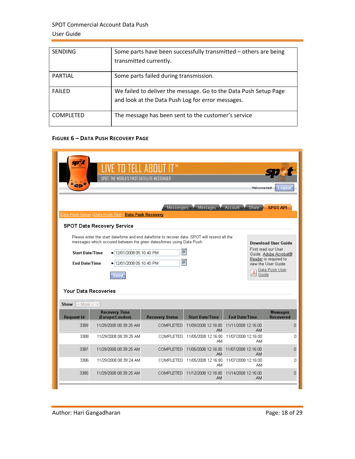#### SPOT Commercial Account Data Push User Guide

| <b>SENDING</b>   | Some parts have been successfully transmitted - others are being<br>transmitted currently.                            |
|------------------|-----------------------------------------------------------------------------------------------------------------------|
| PARTIAL          | Some parts failed during transmission.                                                                                |
| <b>FAILFD</b>    | We failed to deliver the message. Go to the Data Push Setup Page<br>and look at the Data Push Log for error messages. |
| <b>COMPLETED</b> | The message has been sent to the customer's service                                                                   |

#### **FIGURE 6 – DATA PUSH RECOVERY PAGE**

| F TILTELL ARITII<br>SPOT. THE WORLD'S FIRST SATELLITE MESSENGER<br>$^{\circ}$ dp $^{\circ}$<br>Logout<br>Welcome-test                                                                                                                                                                                                                                                                                                                                                                                                         |                                                       |                        |                                     |                                  |                  |  |
|-------------------------------------------------------------------------------------------------------------------------------------------------------------------------------------------------------------------------------------------------------------------------------------------------------------------------------------------------------------------------------------------------------------------------------------------------------------------------------------------------------------------------------|-------------------------------------------------------|------------------------|-------------------------------------|----------------------------------|------------------|--|
|                                                                                                                                                                                                                                                                                                                                                                                                                                                                                                                               | Data Push Setup   Data Push Test   Data Push Recovery | <b>Messengers</b>      | Messages <sup>-</sup>               | Account<br>Share                 | <b>SPOT API</b>  |  |
|                                                                                                                                                                                                                                                                                                                                                                                                                                                                                                                               |                                                       |                        |                                     |                                  |                  |  |
| SPOT Data Recovery Service<br>Please enter the start date/time and end date/time to recover data. SPOT will resend all the<br>messages which occured between the given dates/times using Data Push.<br><b>Download User Guide</b><br>First read our User<br>Ë<br>Start Date/Time<br><del>=</del> 12/01/2008 05:10:40 PM<br>Guide. Adobe Acrobat®<br>Reader is required to<br>Ë<br>End Date/Time<br>12/01/2008 05:10:40 PM<br>view the User Guide.<br>푷<br>Data Push User<br>$\triangle$ Guide<br>Send<br>Your Data Recoveries |                                                       |                        |                                     |                                  |                  |  |
| $-$ More $ \vee$<br>Show                                                                                                                                                                                                                                                                                                                                                                                                                                                                                                      | <b>Recovery Time</b>                                  |                        |                                     |                                  | <b>Messages</b>  |  |
| <b>Request Id</b>                                                                                                                                                                                                                                                                                                                                                                                                                                                                                                             | (Europe/London)                                       | <b>Recovery Status</b> | <b>Start Date/Time</b>              | <b>End Date/Time</b>             | <b>Recovered</b> |  |
| 3389                                                                                                                                                                                                                                                                                                                                                                                                                                                                                                                          | 11/29/2008 08:39:25 AM                                | <b>COMPLETED</b>       | 11/09/2008 12:16:00<br>AM           | 11/11/2008 12:16:00<br><b>AM</b> | 0                |  |
| 3388                                                                                                                                                                                                                                                                                                                                                                                                                                                                                                                          | 11/29/2008 08:39:25 AM                                |                        | COMPLETED 11/05/2008 12:16:00<br>AM | 11/07/2008 12:16:00<br>AM        | 0                |  |
| 3387                                                                                                                                                                                                                                                                                                                                                                                                                                                                                                                          | 11/29/2008 08:39:25 AM                                |                        | COMPLETED 11/05/2008 12:16:00<br>AM | 11/07/2008 12:16:00<br>AM        | 0                |  |
| 3386                                                                                                                                                                                                                                                                                                                                                                                                                                                                                                                          | 11/29/2008 08:39:24 AM                                |                        | COMPLETED 11/05/2008 12:16:00<br>AM | 11/07/2008 12:16:00<br>AM        | 0                |  |
| 3385                                                                                                                                                                                                                                                                                                                                                                                                                                                                                                                          | 11/29/2008 08:39:25 AM                                | <b>COMPLETED</b>       | 11/12/2008 12:16:00<br>AM           | 11/14/2008 12:16:00<br>AM        | $\Box$           |  |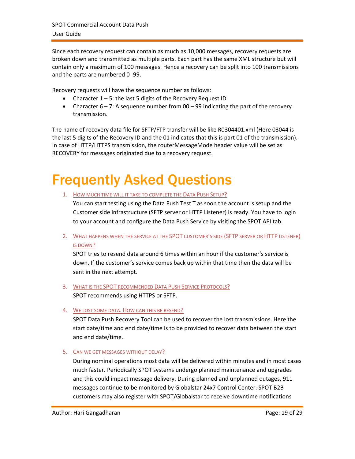Since each recovery request can contain as much as 10,000 messages, recovery requests are broken down and transmitted as multiple parts. Each part has the same XML structure but will contain only a maximum of 100 messages. Hence a recovery can be split into 100 transmissions and the parts are numbered 0 ‐99.

Recovery requests will have the sequence number as follows:

- Character 1 5: the last 5 digits of the Recovery Request ID
- Character  $6 7$ : A sequence number from  $00 99$  indicating the part of the recovery transmission.

The name of recovery data file for SFTP/FTP transfer will be like R0304401.xml (Here 03044 is the last 5 digits of the Recovery ID and the 01 indicates that this is part 01 of the transmission). In case of HTTP/HTTPS transmission, the routerMessageMode header value will be set as RECOVERY for messages originated due to a recovery request.

## Frequently Asked Questions

1. HOW MUCH TIME WILL IT TAKE TO COMPLETE THE DATA PUSH SETUP?

You can start testing using the Data Push Test T as soon the account is setup and the Customer side infrastructure (SFTP server or HTTP Listener) is ready. You have to login to your account and configure the Data Push Service by visiting the SPOT API tab.

2. WHAT HAPPENS WHEN THE SERVICE AT THE SPOT CUSTOMER'S SIDE (SFTP SERVER OR HTTP LISTENER) IS DOWN?

SPOT tries to resend data around 6 times within an hour if the customer's service is down. If the customer's service comes back up within that time then the data will be sent in the next attempt.

- 3. WHAT IS THE SPOT RECOMMENDED DATA PUSH SERVICE PROTOCOLS? SPOT recommends using HTTPS or SFTP.
- 4. WE LOST SOME DATA. HOW CAN THIS BE RESEND?

SPOT Data Push Recovery Tool can be used to recover the lost transmissions. Here the start date/time and end date/time is to be provided to recover data between the start and end date/time.

5. CAN WE GET MESSAGES WITHOUT DELAY?

During nominal operations most data will be delivered within minutes and in most cases much faster. Periodically SPOT systems undergo planned maintenance and upgrades and this could impact message delivery. During planned and unplanned outages, 911 messages continue to be monitored by Globalstar 24x7 Control Center. SPOT B2B customers may also register with SPOT/Globalstar to receive downtime notifications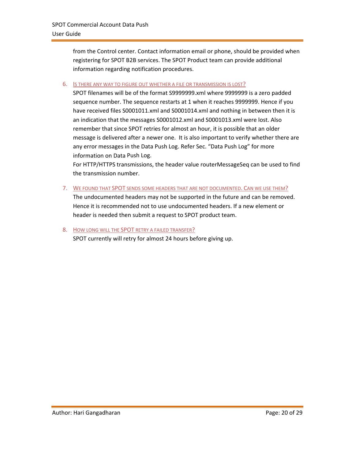from the Control center. Contact information email or phone, should be provided when registering for SPOT B2B services. The SPOT Product team can provide additional information regarding notification procedures.

6. IS THERE ANY WAY TO FIGURE OUT WHETHER A FILE OR TRANSMISSION IS LOST?

SPOT filenames will be of the format S9999999.xml where 9999999 is a zero padded sequence number. The sequence restarts at 1 when it reaches 9999999. Hence if you have received files S0001011.xml and S0001014.xml and nothing in between then it is an indication that the messages S0001012.xml and S0001013.xml were lost. Also remember that since SPOT retries for almost an hour, it is possible that an older message is delivered after a newer one. It is also important to verify whether there are any error messages in the Data Push Log. Refer Sec. "Data Push Log" for more information on Data Push Log.

For HTTP/HTTPS transmissions, the header value routerMessageSeq can be used to find the transmission number.

7. WE FOUND THAT SPOT SENDS SOME HEADERS THAT ARE NOT DOCUMENTED. CAN WE USE THEM? The undocumented headers may not be supported in the future and can be removed. Hence it is recommended not to use undocumented headers. If a new element or header is needed then submit a request to SPOT product team.

8. HOW LONG WILL THE SPOT RETRY A FAILED TRANSFER? SPOT currently will retry for almost 24 hours before giving up.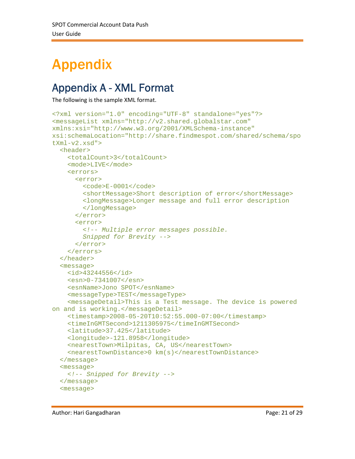## Appendix

### Appendix A - XML Format

The following is the sample XML format.

```
<?xml version="1.0" encoding="UTF-8" standalone="yes"?> 
<messageList xmlns="http://v2.shared.globalstar.com" 
xmlns:xsi="http://www.w3.org/2001/XMLSchema-instance" 
xsi:schemaLocation="http://share.findmespot.com/shared/schema/spo
tXml-v2.xsd"> 
   <header> 
     <totalCount>3</totalCount> 
     <mode>LIVE</mode> 
     <errors> 
       <error> 
        <code>E-0001</code> <shortMessage>Short description of error</shortMessage> 
         <longMessage>Longer message and full error description 
         </longMessage> 
       </error> 
       <error> 
         <!-- Multiple error messages possible. 
         Snipped for Brevity -->
       </error> 
     </errors> 
   </header> 
   <message> 
     <id>43244556</id> 
     <esn>0-7341007</esn> 
     <esnName>Jono SPOT</esnName> 
     <messageType>TEST</messageType> 
     <messageDetail>This is a Test message. The device is powered 
on and is working.</messageDetail> 
     <timestamp>2008-05-20T10:52:55.000-07:00</timestamp> 
     <timeInGMTSecond>1211305975</timeInGMTSecond> 
     <latitude>37.425</latitude> 
     <longitude>-121.8958</longitude> 
     <nearestTown>Milpitas, CA, US</nearestTown> 
     <nearestTownDistance>0 km(s)</nearestTownDistance> 
   </message> 
   <message> 
     <!-- Snipped for Brevity -->
   </message> 
   <message>
```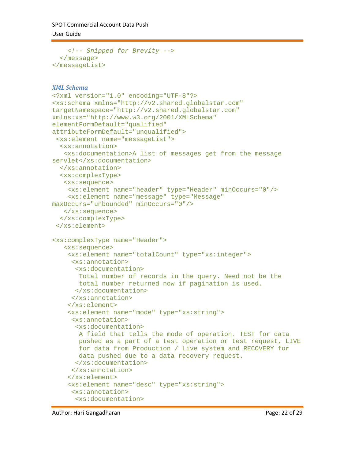```
 <!-- Snipped for Brevity -->
   </message> 
</messageList>
```
#### *XML Schema*

```
<?xml version="1.0" encoding="UTF-8"?> 
<xs:schema xmlns="http://v2.shared.globalstar.com" 
targetNamespace="http://v2.shared.globalstar.com" 
xmlns:xs="http://www.w3.org/2001/XMLSchema" 
elementFormDefault="qualified" 
attributeFormDefault="unqualified"> 
 <xs:element name="messageList"> 
   <xs:annotation> 
    <xs:documentation>A list of messages get from the message 
servlet</xs:documentation>
   </xs:annotation> 
   <xs:complexType> 
    <xs:sequence> 
     <xs:element name="header" type="Header" minOccurs="0"/> 
     <xs:element name="message" type="Message" 
maxOccurs="unbounded" minOccurs="0"/> 
    </xs:sequence> 
   </xs:complexType> 
  </xs:element> 
<xs:complexType name="Header"> 
    <xs:sequence> 
     <xs:element name="totalCount" type="xs:integer"> 
      <xs:annotation> 
       <xs:documentation> 
        Total number of records in the query. Need not be the 
        total number returned now if pagination is used. 
       </xs:documentation> 
      </xs:annotation> 
     </xs:element> 
     <xs:element name="mode" type="xs:string"> 
      <xs:annotation> 
       <xs:documentation> 
        A field that tells the mode of operation. TEST for data 
        pushed as a part of a test operation or test request, LIVE 
        for data from Production / Live system and RECOVERY for 
        data pushed due to a data recovery request. 
       </xs:documentation> 
      </xs:annotation> 
     </xs:element> 
     <xs:element name="desc" type="xs:string"> 
      <xs:annotation> 
       <xs:documentation>
```
Author: Hari Gangadharan Page: 22 of 29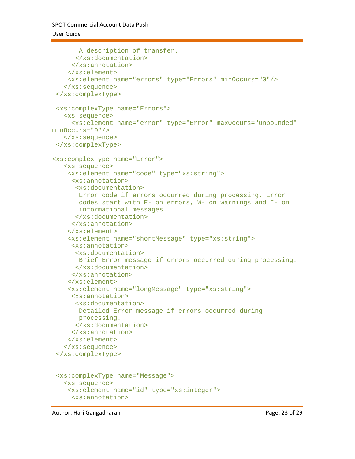```
 A description of transfer. 
       </xs:documentation> 
      </xs:annotation> 
     </xs:element> 
     <xs:element name="errors" type="Errors" minOccurs="0"/> 
    </xs:sequence> 
  </xs:complexType> 
  <xs:complexType name="Errors"> 
    <xs:sequence> 
      <xs:element name="error" type="Error" maxOccurs="unbounded" 
minOccurs="0"/> 
    </xs:sequence> 
  </xs:complexType> 
<xs:complexType name="Error"> 
    <xs:sequence> 
     <xs:element name="code" type="xs:string"> 
      <xs:annotation> 
       <xs:documentation> 
        Error code if errors occurred during processing. Error 
        codes start with E- on errors, W- on warnings and I- on 
        informational messages. 
       </xs:documentation> 
      </xs:annotation> 
     </xs:element> 
     <xs:element name="shortMessage" type="xs:string"> 
      <xs:annotation> 
       <xs:documentation> 
        Brief Error message if errors occurred during processing. 
       </xs:documentation> 
      </xs:annotation> 
     </xs:element> 
     <xs:element name="longMessage" type="xs:string"> 
      <xs:annotation> 
       <xs:documentation> 
       Detailed Error message if errors occurred during 
        processing. 
       </xs:documentation> 
      </xs:annotation> 
     </xs:element> 
    </xs:sequence> 
  </xs:complexType> 
  <xs:complexType name="Message"> 
    <xs:sequence> 
     <xs:element name="id" type="xs:integer"> 
      <xs:annotation>
```
Author: Hari Gangadharan **Page: 23 of 29** and 20 and 20 and 20 and 20 and 20 and 20 and 20 and 20 and 20 and 20 and 20 and 20 and 20 and 20 and 20 and 20 and 20 and 20 and 20 and 20 and 20 and 20 and 20 and 20 and 20 and 2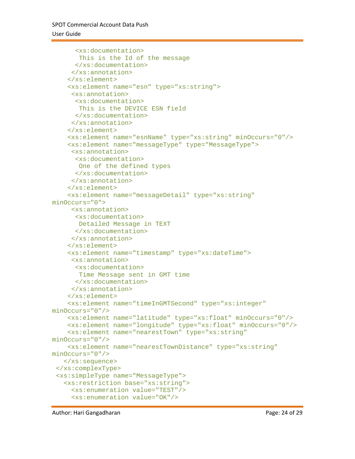```
 <xs:documentation> 
        This is the Id of the message 
       </xs:documentation> 
      </xs:annotation> 
     </xs:element> 
     <xs:element name="esn" type="xs:string"> 
      <xs:annotation> 
       <xs:documentation> 
        This is the DEVICE ESN field 
       </xs:documentation> 
      </xs:annotation> 
     </xs:element> 
     <xs:element name="esnName" type="xs:string" minOccurs="0"/> 
     <xs:element name="messageType" type="MessageType"> 
      <xs:annotation> 
       <xs:documentation> 
        One of the defined types 
       </xs:documentation> 
      </xs:annotation> 
     </xs:element> 
     <xs:element name="messageDetail" type="xs:string" 
minOccurs="0"> 
      <xs:annotation> 
       <xs:documentation> 
       Detailed Message in TEXT 
       </xs:documentation> 
      </xs:annotation> 
     </xs:element> 
     <xs:element name="timestamp" type="xs:dateTime"> 
      <xs:annotation> 
       <xs:documentation> 
        Time Message sent in GMT time 
       </xs:documentation> 
      </xs:annotation> 
     </xs:element> 
     <xs:element name="timeInGMTSecond" type="xs:integer" 
minOccurs="0"/> 
     <xs:element name="latitude" type="xs:float" minOccurs="0"/> 
     <xs:element name="longitude" type="xs:float" minOccurs="0"/> 
     <xs:element name="nearestTown" type="xs:string" 
minOccurs="0"/> 
     <xs:element name="nearestTownDistance" type="xs:string" 
minOccurs="0"/> 
    </xs:sequence> 
  </xs:complexType> 
  <xs:simpleType name="MessageType"> 
    <xs:restriction base="xs:string"> 
      <xs:enumeration value="TEST"/> 
      <xs:enumeration value="OK"/>
```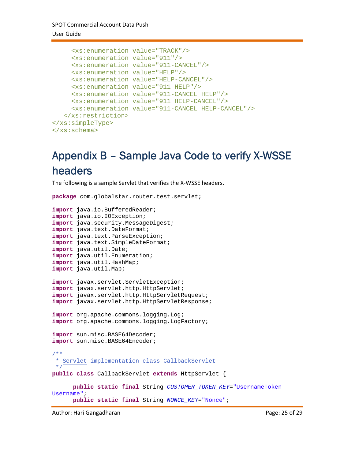```
 <xs:enumeration value="TRACK"/> 
      <xs:enumeration value="911"/> 
      <xs:enumeration value="911-CANCEL"/> 
      <xs:enumeration value="HELP"/> 
      <xs:enumeration value="HELP-CANCEL"/> 
      <xs:enumeration value="911 HELP"/> 
      <xs:enumeration value="911-CANCEL HELP"/> 
      <xs:enumeration value="911 HELP-CANCEL"/> 
      <xs:enumeration value="911-CANCEL HELP-CANCEL"/> 
    </xs:restriction> 
</xs:simpleType> 
</xs:schema>
```
### Appendix B – Sample Java Code to verify X-WSSE headers

The following is a sample Servlet that verifies the X‐WSSE headers.

```
package com.globalstar.router.test.servlet; 
import java.io.BufferedReader; 
import java.io.IOException; 
import java.security.MessageDigest; 
import java.text.DateFormat; 
import java.text.ParseException; 
import java.text.SimpleDateFormat; 
import java.util.Date; 
import java.util.Enumeration; 
import java.util.HashMap; 
import java.util.Map; 
import javax.servlet.ServletException; 
import javax.servlet.http.HttpServlet; 
import javax.servlet.http.HttpServletRequest; 
import javax.servlet.http.HttpServletResponse; 
import org.apache.commons.logging.Log; 
import org.apache.commons.logging.LogFactory; 
import sun.misc.BASE64Decoder; 
import sun.misc.BASE64Encoder; 
/**
 * Servlet implementation class CallbackServlet
 */
public class CallbackServlet extends HttpServlet { 
      public static final String CUSTOMER_TOKEN_KEY="UsernameToken 
Username"; 
      public static final String NONCE_KEY="Nonce";
```
Author: Hari Gangadharan Page: 25 of 29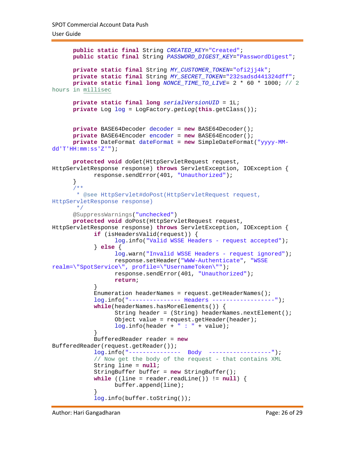```
public static final String CREATED_KEY="Created"; 
      public static final String PASSWORD_DIGEST_KEY="PasswordDigest"; 
      private static final String MY_CUSTOMER_TOKEN="ofi2jj4k"; 
      private static final String MY_SECRET_TOKEN="232sadsd441324dff"; 
      private static final long NONCE_TIME_TO_LIVE= 2 * 60 * 1000; // 2 
hours in millisec
      private static final long serialVersionUID = 1L; 
      private Log log = LogFactory.getLog(this.getClass()); 
      private BASE64Decoder decoder = new BASE64Decoder(); 
      private BASE64Encoder encoder = new BASE64Encoder(); 
      private DateFormat dateFormat = new SimpleDateFormat("yyyy-MM-
dd'T'HH:mm:ss'Z'"); 
      protected void doGet(HttpServletRequest request, 
HttpServletResponse response) throws ServletException, IOException { 
             response.sendError(401, "Unauthorized"); 
       } 
      /**
        * @see HttpServlet#doPost(HttpServletRequest request,
HttpServletResponse response)
        */
      @SuppressWarnings("unchecked") 
      protected void doPost(HttpServletRequest request, 
HttpServletResponse response) throws ServletException, IOException { 
             if (isHeadersValid(request)) { 
                  log.info("Valid WSSE Headers - request accepted");
             } else { 
                   log.warn("Invalid WSSE Headers - request ignored"); 
                   response.setHeader("WWW-Authenticate", "WSSE 
realm=\"SpotService\", profile=\"UsernameToken\""); 
                   response.sendError(401, "Unauthorized"); 
             return; 
 } 
             Enumeration headerNames = request.getHeaderNames(); 
             log.info("--------------- Headers ------------------"); 
             while(headerNames.hasMoreElements()) { 
                   String header = (String) headerNames.nextElement(); 
                   Object value = request.getHeader(header); 
                  log.info(header + " : " + value); } 
             BufferedReader reader = new
BufferedReader(request.getReader()); 
             log.info("--------------- Body ------------------"); 
             // Now get the body of the request - that contains XML
             String line = null; 
             StringBuffer buffer = new StringBuffer(); 
             while ((line = reader.readLine()) != null) { 
                   buffer.append(line); 
 } 
             log.info(buffer.toString());
```
Author: Hari Gangadharan Page: 26 of 29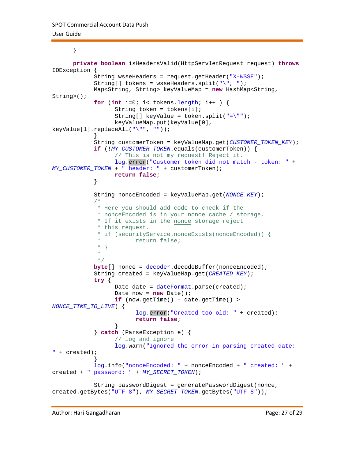```
 } 
      private boolean isHeadersValid(HttpServletRequest request) throws
IOException { 
             String wsseHeaders = request.getHeader("X-WSSE"); 
            String[] tokens = wsseHeaders.split("\", ");
             Map<String, String> keyValueMap = new HashMap<String, 
String>(); 
            for (int i=0; i< tokens.length; i++ ) {
                   String token = tokens[i]; 
                  String[] keyValue = token.split("=\"");
                   keyValueMap.put(keyValue[0], 
keyValue[1].replaceAll("\"", "")); 
 } 
             String customerToken = keyValueMap.get(CUSTOMER_TOKEN_KEY); 
             if (!MY_CUSTOMER_TOKEN.equals(customerToken)) { 
                   // This is not my request! Reject it.
                   log.error("Customer token did not match - token: " + 
MY_CUSTOMER_TOKEN + " header: " + customerToken); 
             return false; 
 } 
             String nonceEncoded = keyValueMap.get(NONCE_KEY); 
             /*
              * Here you should add code to check if the 
              * nonceEncoded is in your nonce cache / storage.
              * If it exists in the nonce storage reject
              * this request.
              * if (securityService.nonceExists(nonceEncoded)) {
                       return false;
              * }
 * 
              */
            byte[] nonce = decoder.decodeBuffer(nonceEncoded);
             String created = keyValueMap.get(CREATED_KEY); 
             try { 
                  Date date = dateFormat.parse(created);
                   Date now = new Date(); 
                   if (now.getTime() - date.getTime() > 
NONCE_TIME_TO_LIVE) { 
                        log.error("Created too old: " + created);
                         return false; 
 } 
             } catch (ParseException e) { 
                   // log and ignore
                   log.warn("Ignored the error in parsing created date: 
" + created); 
 } 
             log.info("nonceEncoded: " + nonceEncoded + " created: " + 
created + " password: " + MY_SECRET_TOKEN); 
             String passwordDigest = generatePasswordDigest(nonce, 
created.getBytes("UTF-8"), MY_SECRET_TOKEN.getBytes("UTF-8"));
```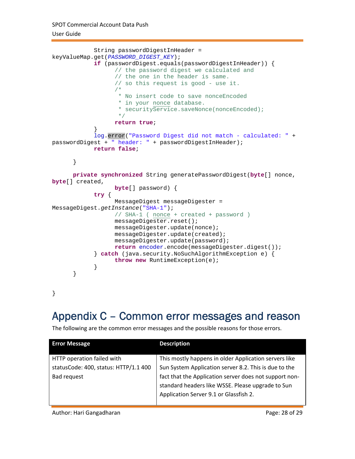#### SPOT Commercial Account Data Push User Guide

```
 String passwordDigestInHeader = 
keyValueMap.get(PASSWORD_DIGEST_KEY); 
             if (passwordDigest.equals(passwordDigestInHeader)) { 
                   // the password digest we calculated and
                   // the one in the header is same.
                   // so this request is good - use it.
 /*
                    * No insert code to save nonceEncoded
                    * in your nonce database.
                    * securityService.saveNonce(nonceEncoded);
\star/ return true; 
 } 
             log.error("Password Digest did not match - calculated: " + 
passwordDigest + " header: " + passwordDigestInHeader); 
             return false; 
       } 
      private synchronized String generatePasswordDigest(byte[] nonce, 
byte[] created, 
                   byte[] password) { 
             try { 
                   MessageDigest messageDigester = 
MessageDigest.getInstance("SHA-1"); 
                   // SHA-1 ( nonce + created + password )
                   messageDigester.reset(); 
                   messageDigester.update(nonce); 
                   messageDigester.update(created); 
                   messageDigester.update(password); 
                   return encoder.encode(messageDigester.digest()); 
             } catch (java.security.NoSuchAlgorithmException e) { 
                   throw new RuntimeException(e); 
 } 
       } 
}
```
### Appendix C – Common error messages and reason

The following are the common error messages and the possible reasons for those errors.

| <b>Error Message</b>                  | <b>Description</b>                                     |  |  |
|---------------------------------------|--------------------------------------------------------|--|--|
|                                       |                                                        |  |  |
| HTTP operation failed with            | This mostly happens in older Application servers like  |  |  |
| statusCode: 400, status: HTTP/1.1 400 | Sun System Application server 8.2. This is due to the  |  |  |
| Bad request                           | fact that the Application server does not support non- |  |  |
|                                       | standard headers like WSSE. Please upgrade to Sun      |  |  |
|                                       | Application Server 9.1 or Glassfish 2.                 |  |  |
|                                       |                                                        |  |  |

Author: Hari Gangadharan **Page: 28 of 29** and 20 and 20 and 20 and 20 and 20 and 20 and 20 and 20 and 20 and 20 and 20 and 20 and 20 and 20 and 20 and 20 and 20 and 20 and 20 and 20 and 20 and 20 and 20 and 20 and 20 and 2